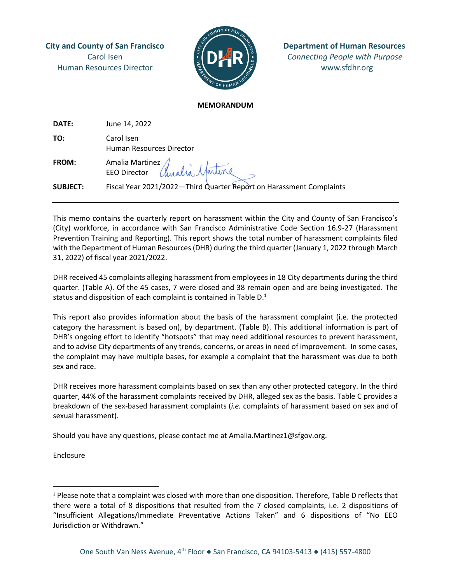Human Resources Director **with the second www.sfdhr.org** 



**City and County of San Francisco Department of Human Resources** Carol Isen *Connecting People with Purpose*

#### **MEMORANDUM**

| DATE:           | June 14, 2022                                                       |
|-----------------|---------------------------------------------------------------------|
| TO:             | Carol Isen<br><b>Human Resources Director</b>                       |
| <b>FROM:</b>    | Amalia Martinez<br>EEO Director <i>Chualia Martine</i>              |
| <b>SUBJECT:</b> | Fiscal Year 2021/2022-Third Quarter Report on Harassment Complaints |

This memo contains the quarterly report on harassment within the City and County of San Francisco's (City) workforce, in accordance with San Francisco Administrative Code Section 16.9-27 (Harassment Prevention Training and Reporting). This report shows the total number of harassment complaints filed with the Department of Human Resources (DHR) during the third quarter (January 1, 2022 through March 31, 2022) of fiscal year 2021/2022.

DHR received 45 complaints alleging harassment from employees in 18 City departments during the third quarter. (Table A). Of the 45 cases, 7 were closed and 38 remain open and are being investigated. The status and disposition of each complaint is contained in Table D.<sup>1</sup>

This report also provides information about the basis of the harassment complaint (i.e. the protected category the harassment is based on), by department. (Table B). This additional information is part of DHR's ongoing effort to identify "hotspots" that may need additional resources to prevent harassment, and to advise City departments of any trends, concerns, or areas in need of improvement. In some cases, the complaint may have multiple bases, for example a complaint that the harassment was due to both sex and race.

DHR receives more harassment complaints based on sex than any other protected category. In the third quarter, 44% of the harassment complaints received by DHR, alleged sex as the basis. Table C provides a breakdown of the sex-based harassment complaints (*i.e.* complaints of harassment based on sex and of sexual harassment).

Should you have any questions, please contact me at Amalia.Martinez1@sfgov.org.

Enclosure

 $<sup>1</sup>$  Please note that a complaint was closed with more than one disposition. Therefore, Table D reflects that</sup> there were a total of 8 dispositions that resulted from the 7 closed complaints, i.e. 2 dispositions of "Insufficient Allegations/Immediate Preventative Actions Taken" and 6 dispositions of "No EEO Jurisdiction or Withdrawn."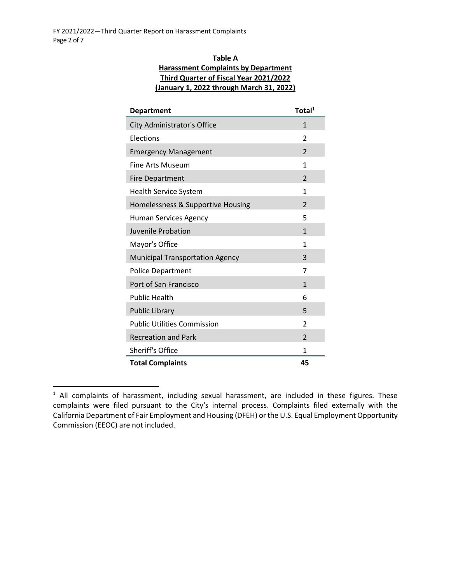# **Table A Harassment Complaints by Department Third Quarter of Fiscal Year 2021/2022 (January 1, 2022 through March 31, 2022)**

| <b>Department</b>                                      | Total <sup>1</sup>       |  |  |  |  |
|--------------------------------------------------------|--------------------------|--|--|--|--|
| City Administrator's Office                            | $\mathbf{1}$             |  |  |  |  |
| Elections                                              | 2                        |  |  |  |  |
| <b>Emergency Management</b>                            | $\mathfrak{p}$           |  |  |  |  |
| <b>Fine Arts Museum</b>                                | 1                        |  |  |  |  |
| <b>Fire Department</b>                                 | $\overline{\phantom{a}}$ |  |  |  |  |
| <b>Health Service System</b>                           | 1                        |  |  |  |  |
| Homelessness & Supportive Housing                      | $\mathfrak{p}$           |  |  |  |  |
| <b>Human Services Agency</b>                           | 5                        |  |  |  |  |
| Juvenile Probation                                     | $\mathbf{1}$             |  |  |  |  |
| Mayor's Office                                         | 1                        |  |  |  |  |
| <b>Municipal Transportation Agency</b>                 | 3                        |  |  |  |  |
| <b>Police Department</b>                               | 7                        |  |  |  |  |
| Port of San Francisco                                  | 1                        |  |  |  |  |
| <b>Public Health</b>                                   |                          |  |  |  |  |
| Public Library                                         | 5                        |  |  |  |  |
| <b>Public Utilities Commission</b>                     |                          |  |  |  |  |
| <b>Recreation and Park</b><br>$\overline{\phantom{a}}$ |                          |  |  |  |  |
| <b>Sheriff's Office</b><br>1                           |                          |  |  |  |  |
| <b>Total Complaints</b>                                | 45                       |  |  |  |  |

<sup>&</sup>lt;sup>1</sup> All complaints of harassment, including sexual harassment, are included in these figures. These complaints were filed pursuant to the City's internal process. Complaints filed externally with the California Department of Fair Employment and Housing (DFEH) or the U.S. Equal Employment Opportunity Commission (EEOC) are not included.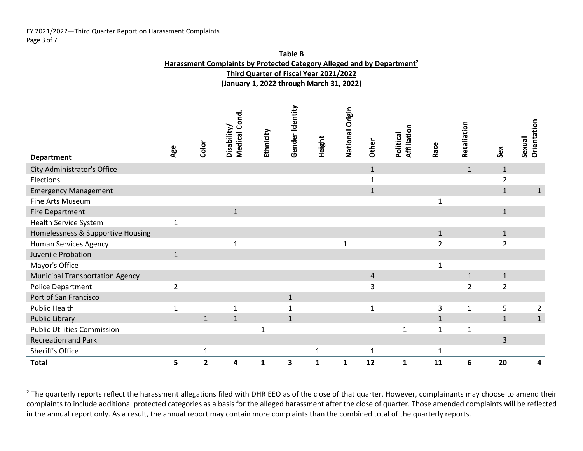#### FY 2021/2022—Third Quarter Report on Harassment Complaints Page 3 of 7

|                                        |                |                         | Harassment Complaints by Protected Category Alleged and by Department <sup>2</sup> |              |                 |                                        |                 |                |                          |                |                |                |                       |
|----------------------------------------|----------------|-------------------------|------------------------------------------------------------------------------------|--------------|-----------------|----------------------------------------|-----------------|----------------|--------------------------|----------------|----------------|----------------|-----------------------|
|                                        |                |                         |                                                                                    |              |                 | Third Quarter of Fiscal Year 2021/2022 |                 |                |                          |                |                |                |                       |
|                                        |                |                         | (January 1, 2022 through March 31, 2022)                                           |              |                 |                                        |                 |                |                          |                |                |                |                       |
| <b>Department</b>                      | Age            | Color                   | Medical Cond.<br>Disability/                                                       | Ethnicity    | Gender Identity | Height                                 | National Origin | Other          | Affiliation<br>Political | Race           | Retaliation    | Sex            | Orientation<br>Sexual |
| City Administrator's Office            |                |                         |                                                                                    |              |                 |                                        |                 | $\mathbf 1$    |                          |                | $\mathbf 1$    | $\mathbf{1}$   |                       |
| Elections                              |                |                         |                                                                                    |              |                 |                                        |                 | $\mathbf{1}$   |                          |                |                | $\overline{2}$ |                       |
| <b>Emergency Management</b>            |                |                         |                                                                                    |              |                 |                                        |                 | $\mathbf{1}$   |                          |                |                | $\mathbf{1}$   | $\mathbf{1}$          |
| Fine Arts Museum                       |                |                         |                                                                                    |              |                 |                                        |                 |                |                          | $\mathbf{1}$   |                |                |                       |
| <b>Fire Department</b>                 |                |                         | $\mathbf{1}$                                                                       |              |                 |                                        |                 |                |                          |                |                | $\mathbf{1}$   |                       |
| <b>Health Service System</b>           | $\mathbf{1}$   |                         |                                                                                    |              |                 |                                        |                 |                |                          |                |                |                |                       |
| Homelessness & Supportive Housing      |                |                         |                                                                                    |              |                 |                                        |                 |                |                          | $\mathbf{1}$   |                | $\mathbf{1}$   |                       |
| <b>Human Services Agency</b>           |                |                         | $\mathbf{1}$                                                                       |              |                 |                                        | $\mathbf{1}$    |                |                          | $\overline{2}$ |                | $\overline{2}$ |                       |
| Juvenile Probation                     | $\mathbf{1}$   |                         |                                                                                    |              |                 |                                        |                 |                |                          |                |                |                |                       |
| Mayor's Office                         |                |                         |                                                                                    |              |                 |                                        |                 |                |                          | $\mathbf{1}$   |                |                |                       |
| <b>Municipal Transportation Agency</b> |                |                         |                                                                                    |              |                 |                                        |                 | $\overline{4}$ |                          |                | $\mathbf{1}$   | $\mathbf{1}$   |                       |
| Police Department                      | $\overline{2}$ |                         |                                                                                    |              |                 |                                        |                 | 3              |                          |                | $\overline{2}$ | $\overline{2}$ |                       |
| Port of San Francisco                  |                |                         |                                                                                    |              | $\mathbf{1}$    |                                        |                 |                |                          |                |                |                |                       |
| <b>Public Health</b>                   | $\mathbf{1}$   |                         | $\mathbf{1}$                                                                       |              | $\mathbf{1}$    |                                        |                 | $\mathbf{1}$   |                          | 3              | $\mathbf{1}$   | 5              | $\overline{2}$        |
| <b>Public Library</b>                  |                | $\mathbf{1}$            | $\mathbf{1}$                                                                       |              | $\mathbf{1}$    |                                        |                 |                |                          | $\mathbf{1}$   |                | $\mathbf{1}$   | $\mathbf{1}$          |
| <b>Public Utilities Commission</b>     |                |                         |                                                                                    | $\mathbf{1}$ |                 |                                        |                 |                | $1\,$                    | $\mathbf{1}$   | $\mathbf 1$    |                |                       |
| <b>Recreation and Park</b>             |                |                         |                                                                                    |              |                 |                                        |                 |                |                          |                |                | 3              |                       |
| Sheriff's Office                       |                | $\mathbf 1$             |                                                                                    |              |                 | $\mathbf{1}$                           |                 | $\mathbf{1}$   |                          | $\mathbf{1}$   |                |                |                       |
| <b>Total</b>                           | 5              | $\overline{\mathbf{c}}$ | 4                                                                                  | $\mathbf{1}$ | 3               | $\mathbf{1}$                           | $\mathbf{1}$    | 12             | $\mathbf{1}$             | 11             | 6              | 20             | 4                     |

**Table B**

<sup>&</sup>lt;sup>2</sup> The quarterly reports reflect the harassment allegations filed with DHR EEO as of the close of that quarter. However, complainants may choose to amend their complaints to include additional protected categories as a basis for the alleged harassment after the close of quarter. Those amended complaints will be reflected in the annual report only. As a result, the annual report may contain more complaints than the combined total of the quarterly reports.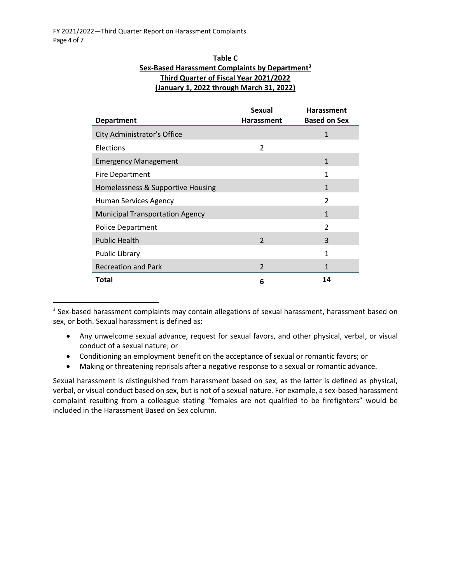# **Table C Sex-Based Harassment Complaints by Department<sup>3</sup> Third Quarter of Fiscal Year 2021/2022 (January 1, 2022 through March 31, 2022)**

|                                        | <b>Sexual</b>            | <b>Harassment</b>   |
|----------------------------------------|--------------------------|---------------------|
| <b>Department</b>                      | <b>Harassment</b>        | <b>Based on Sex</b> |
| City Administrator's Office            |                          | 1                   |
| Elections                              | $\overline{\mathbf{c}}$  |                     |
| <b>Emergency Management</b>            |                          | $\mathbf{1}$        |
| Fire Department                        |                          | 1                   |
| Homelessness & Supportive Housing      |                          | $\mathbf{1}$        |
| Human Services Agency                  |                          | $\mathfrak{p}$      |
| <b>Municipal Transportation Agency</b> |                          | $\mathbf{1}$        |
| Police Department                      |                          | 2                   |
| <b>Public Health</b>                   | $\mathcal{P}$            | 3                   |
| Public Library                         |                          | 1                   |
| <b>Recreation and Park</b>             | $\overline{\phantom{a}}$ | 1                   |
| Total                                  | 6                        | 14                  |

 $3$  Sex-based harassment complaints may contain allegations of sexual harassment, harassment based on sex, or both. Sexual harassment is defined as:

- Any unwelcome sexual advance, request for sexual favors, and other physical, verbal, or visual conduct of a sexual nature; or
- Conditioning an employment benefit on the acceptance of sexual or romantic favors; or
- Making or threatening reprisals after a negative response to a sexual or romantic advance.

Sexual harassment is distinguished from harassment based on sex, as the latter is defined as physical, verbal, or visual conduct based on sex, but is not of a sexual nature. For example, a sex-based harassment complaint resulting from a colleague stating "females are not qualified to be firefighters" would be included in the Harassment Based on Sex column.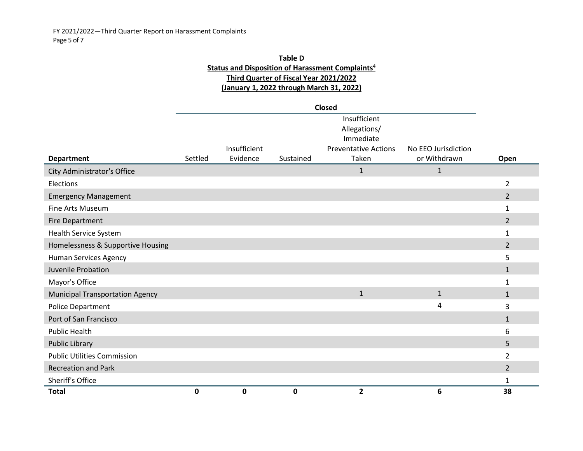# **Table D Status and Disposition of Harassment Complaints<sup>4</sup> Third Quarter of Fiscal Year 2021/2022 (January 1, 2022 through March 31, 2022)**

|                                        | <b>Closed</b> |              |           |                             |                     |                |  |  |  |
|----------------------------------------|---------------|--------------|-----------|-----------------------------|---------------------|----------------|--|--|--|
|                                        |               | Insufficient |           |                             |                     |                |  |  |  |
|                                        |               |              |           | Allegations/                |                     |                |  |  |  |
|                                        |               |              |           | Immediate                   |                     |                |  |  |  |
|                                        |               | Insufficient |           | <b>Preventative Actions</b> | No EEO Jurisdiction |                |  |  |  |
| <b>Department</b>                      | Settled       | Evidence     | Sustained | Taken                       | or Withdrawn        | Open           |  |  |  |
| City Administrator's Office            |               |              |           | $\mathbf{1}$                | 1                   |                |  |  |  |
| Elections                              |               |              |           |                             |                     | $\overline{2}$ |  |  |  |
| <b>Emergency Management</b>            |               |              |           |                             |                     | $\overline{2}$ |  |  |  |
| Fine Arts Museum                       |               |              |           |                             |                     | 1              |  |  |  |
| Fire Department                        |               |              |           |                             |                     | $\overline{2}$ |  |  |  |
| Health Service System                  |               |              |           |                             |                     | 1              |  |  |  |
| Homelessness & Supportive Housing      |               |              |           |                             |                     | $\overline{2}$ |  |  |  |
| Human Services Agency                  |               |              |           |                             |                     | 5              |  |  |  |
| Juvenile Probation                     |               |              |           |                             |                     | $\mathbf{1}$   |  |  |  |
| Mayor's Office                         |               |              |           |                             |                     | $\mathbf{1}$   |  |  |  |
| <b>Municipal Transportation Agency</b> |               |              |           | $\mathbf{1}$                | $\mathbf{1}$        | $\mathbf{1}$   |  |  |  |
| Police Department                      |               |              |           |                             | 4                   | 3              |  |  |  |
| Port of San Francisco                  |               |              |           |                             |                     | $\mathbf{1}$   |  |  |  |
| <b>Public Health</b>                   |               |              |           |                             |                     | 6              |  |  |  |
| <b>Public Library</b>                  |               |              |           |                             |                     | 5              |  |  |  |
| <b>Public Utilities Commission</b>     |               |              |           |                             |                     | $\overline{2}$ |  |  |  |
| <b>Recreation and Park</b>             |               |              |           |                             |                     | $\overline{2}$ |  |  |  |
| Sheriff's Office                       |               |              |           |                             |                     | 1              |  |  |  |
| <b>Total</b>                           | 0             | 0            | 0         | $\overline{2}$              | 6                   | 38             |  |  |  |